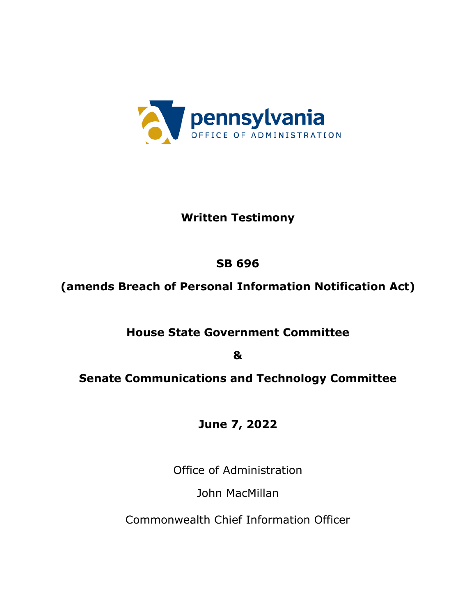

### **Written Testimony**

## **SB 696**

# **(amends Breach of Personal Information Notification Act)**

## **House State Government Committee**

**&**

### **Senate Communications and Technology Committee**

## **June 7, 2022**

Office of Administration

John MacMillan

Commonwealth Chief Information Officer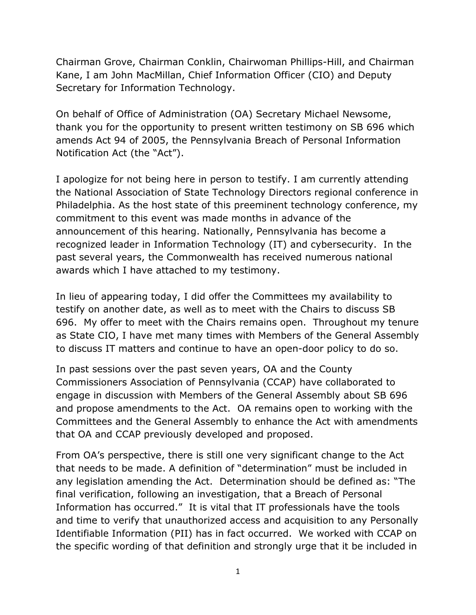Chairman Grove, Chairman Conklin, Chairwoman Phillips-Hill, and Chairman Kane, I am John MacMillan, Chief Information Officer (CIO) and Deputy Secretary for Information Technology.

On behalf of Office of Administration (OA) Secretary Michael Newsome, thank you for the opportunity to present written testimony on SB 696 which amends Act 94 of 2005, the Pennsylvania Breach of Personal Information Notification Act (the "Act").

I apologize for not being here in person to testify. I am currently attending the National Association of State Technology Directors regional conference in Philadelphia. As the host state of this preeminent technology conference, my commitment to this event was made months in advance of the announcement of this hearing. Nationally, Pennsylvania has become a recognized leader in Information Technology (IT) and cybersecurity. In the past several years, the Commonwealth has received numerous national awards which I have attached to my testimony.

In lieu of appearing today, I did offer the Committees my availability to testify on another date, as well as to meet with the Chairs to discuss SB 696. My offer to meet with the Chairs remains open. Throughout my tenure as State CIO, I have met many times with Members of the General Assembly to discuss IT matters and continue to have an open-door policy to do so.

In past sessions over the past seven years, OA and the County Commissioners Association of Pennsylvania (CCAP) have collaborated to engage in discussion with Members of the General Assembly about SB 696 and propose amendments to the Act. OA remains open to working with the Committees and the General Assembly to enhance the Act with amendments that OA and CCAP previously developed and proposed.

From OA's perspective, there is still one very significant change to the Act that needs to be made. A definition of "determination" must be included in any legislation amending the Act. Determination should be defined as: "The final verification, following an investigation, that a Breach of Personal Information has occurred." It is vital that IT professionals have the tools and time to verify that unauthorized access and acquisition to any Personally Identifiable Information (PII) has in fact occurred. We worked with CCAP on the specific wording of that definition and strongly urge that it be included in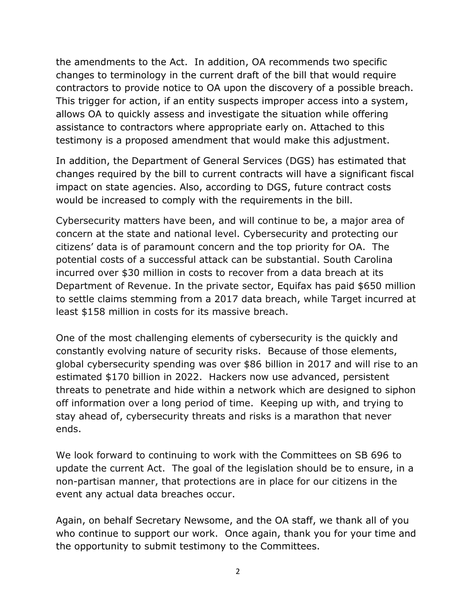the amendments to the Act. In addition, OA recommends two specific changes to terminology in the current draft of the bill that would require contractors to provide notice to OA upon the discovery of a possible breach. This trigger for action, if an entity suspects improper access into a system, allows OA to quickly assess and investigate the situation while offering assistance to contractors where appropriate early on. Attached to this testimony is a proposed amendment that would make this adjustment.

In addition, the Department of General Services (DGS) has estimated that changes required by the bill to current contracts will have a significant fiscal impact on state agencies. Also, according to DGS, future contract costs would be increased to comply with the requirements in the bill.

Cybersecurity matters have been, and will continue to be, a major area of concern at the state and national level. Cybersecurity and protecting our citizens' data is of paramount concern and the top priority for OA. The potential costs of a successful attack can be substantial. South Carolina incurred over \$30 million in costs to recover from a data breach at its Department of Revenue. In the private sector, Equifax has paid \$650 million to settle claims stemming from a 2017 data breach, while Target incurred at least \$158 million in costs for its massive breach.

One of the most challenging elements of cybersecurity is the quickly and constantly evolving nature of security risks. Because of those elements, global cybersecurity spending was over \$86 billion in 2017 and will rise to an estimated \$170 billion in 2022. Hackers now use advanced, persistent threats to penetrate and hide within a network which are designed to siphon off information over a long period of time. Keeping up with, and trying to stay ahead of, cybersecurity threats and risks is a marathon that never ends.

We look forward to continuing to work with the Committees on SB 696 to update the current Act. The goal of the legislation should be to ensure, in a non-partisan manner, that protections are in place for our citizens in the event any actual data breaches occur.

Again, on behalf Secretary Newsome, and the OA staff, we thank all of you who continue to support our work. Once again, thank you for your time and the opportunity to submit testimony to the Committees.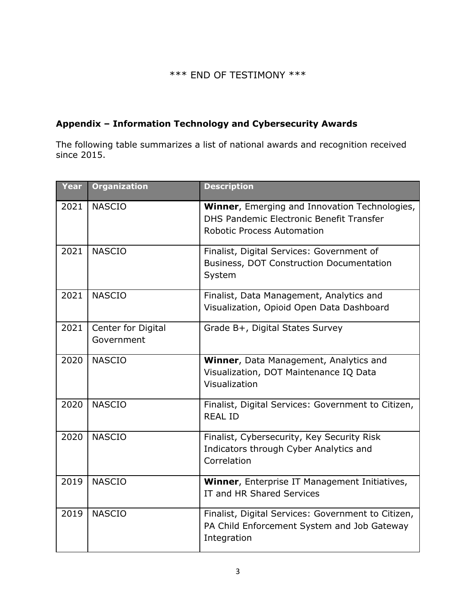#### \*\*\* END OF TESTIMONY \*\*\*

#### **Appendix – Information Technology and Cybersecurity Awards**

The following table summarizes a list of national awards and recognition received since 2015.

| Year | <b>Organization</b>              | <b>Description</b>                                                                                                                    |
|------|----------------------------------|---------------------------------------------------------------------------------------------------------------------------------------|
| 2021 | <b>NASCIO</b>                    | <b>Winner, Emerging and Innovation Technologies,</b><br>DHS Pandemic Electronic Benefit Transfer<br><b>Robotic Process Automation</b> |
| 2021 | <b>NASCIO</b>                    | Finalist, Digital Services: Government of<br>Business, DOT Construction Documentation<br>System                                       |
| 2021 | <b>NASCIO</b>                    | Finalist, Data Management, Analytics and<br>Visualization, Opioid Open Data Dashboard                                                 |
| 2021 | Center for Digital<br>Government | Grade B+, Digital States Survey                                                                                                       |
| 2020 | <b>NASCIO</b>                    | Winner, Data Management, Analytics and<br>Visualization, DOT Maintenance IQ Data<br>Visualization                                     |
| 2020 | <b>NASCIO</b>                    | Finalist, Digital Services: Government to Citizen,<br><b>REAL ID</b>                                                                  |
| 2020 | <b>NASCIO</b>                    | Finalist, Cybersecurity, Key Security Risk<br>Indicators through Cyber Analytics and<br>Correlation                                   |
| 2019 | <b>NASCIO</b>                    | Winner, Enterprise IT Management Initiatives,<br>IT and HR Shared Services                                                            |
| 2019 | <b>NASCIO</b>                    | Finalist, Digital Services: Government to Citizen,<br>PA Child Enforcement System and Job Gateway<br>Integration                      |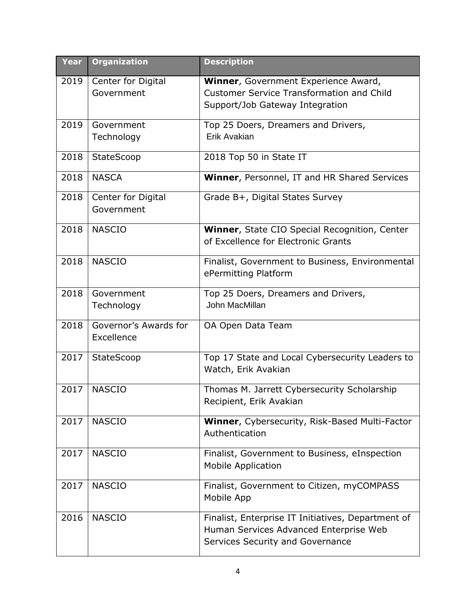| <b>Year</b> | <b>Organization</b>              | <b>Description</b>                                                                       |
|-------------|----------------------------------|------------------------------------------------------------------------------------------|
| 2019        | Center for Digital<br>Government | Winner, Government Experience Award,<br><b>Customer Service Transformation and Child</b> |
|             |                                  | Support/Job Gateway Integration                                                          |
|             |                                  |                                                                                          |
| 2019        | Government                       | Top 25 Doers, Dreamers and Drivers,                                                      |
|             | Technology                       | Erik Avakian                                                                             |
| 2018        | StateScoop                       | 2018 Top 50 in State IT                                                                  |
| 2018        | <b>NASCA</b>                     | Winner, Personnel, IT and HR Shared Services                                             |
| 2018        | Center for Digital               | Grade B+, Digital States Survey                                                          |
|             | Government                       |                                                                                          |
| 2018        | <b>NASCIO</b>                    | Winner, State CIO Special Recognition, Center                                            |
|             |                                  | of Excellence for Electronic Grants                                                      |
| 2018        | <b>NASCIO</b>                    | Finalist, Government to Business, Environmental                                          |
|             |                                  | ePermitting Platform                                                                     |
| 2018        | Government                       | Top 25 Doers, Dreamers and Drivers,                                                      |
|             | Technology                       | John MacMillan                                                                           |
| 2018        | Governor's Awards for            | OA Open Data Team                                                                        |
|             | Excellence                       |                                                                                          |
| 2017        | StateScoop                       | Top 17 State and Local Cybersecurity Leaders to<br>Watch, Erik Avakian                   |
|             |                                  |                                                                                          |
| 2017        | <b>NASCIO</b>                    | Thomas M. Jarrett Cybersecurity Scholarship                                              |
|             |                                  | Recipient, Erik Avakian                                                                  |
| 2017        | <b>NASCIO</b>                    | Winner, Cybersecurity, Risk-Based Multi-Factor                                           |
|             |                                  | Authentication                                                                           |
| 2017        | <b>NASCIO</b>                    | Finalist, Government to Business, eInspection                                            |
|             |                                  | <b>Mobile Application</b>                                                                |
| 2017        | <b>NASCIO</b>                    | Finalist, Government to Citizen, myCOMPASS                                               |
|             |                                  | Mobile App                                                                               |
| 2016        | <b>NASCIO</b>                    | Finalist, Enterprise IT Initiatives, Department of                                       |
|             |                                  | Human Services Advanced Enterprise Web                                                   |
|             |                                  | Services Security and Governance                                                         |